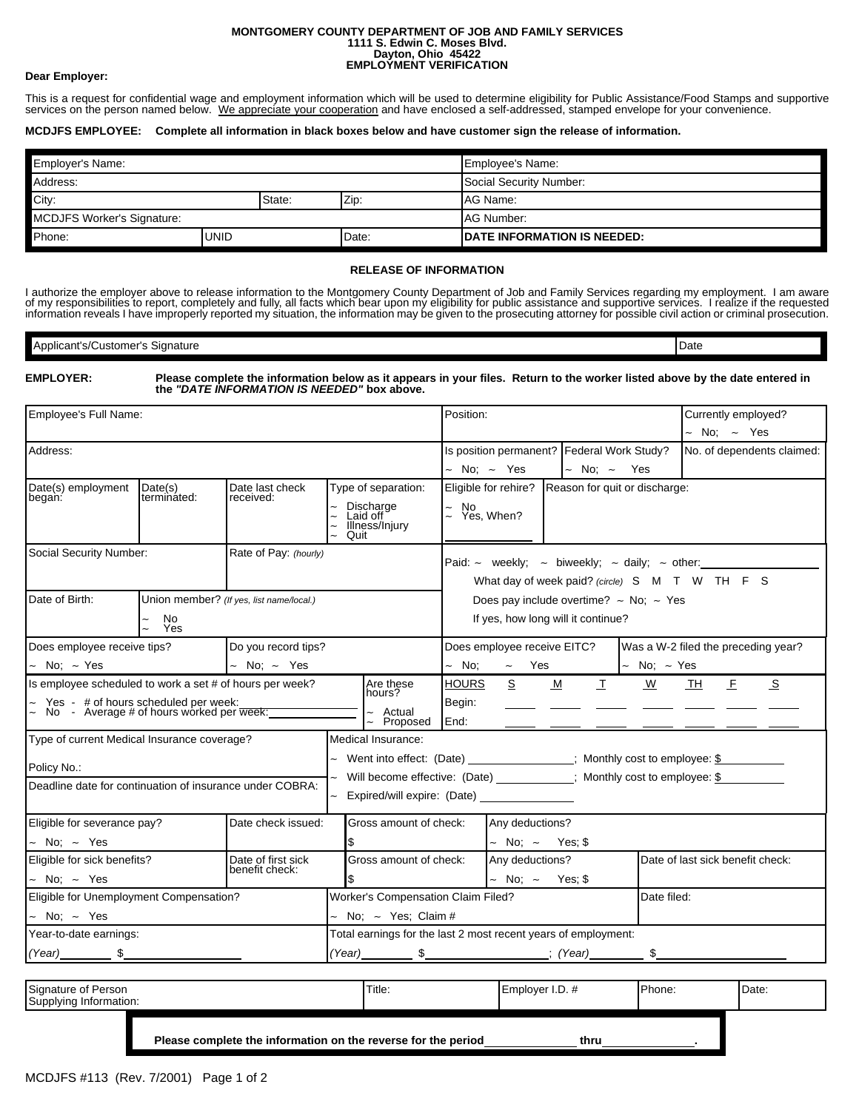## **MONTGOMERY COUNTY DEPARTMENT OF JOB AND FAMILY SERVICES 1111 S. Edwin C. Moses Blvd. Dayton, Ohio 45422 EMPLOYMENT VERIFICATION**

## **Dear Employer:**

This is a request for confidential wage and employment information which will be used to determine eligibility for Public Assistance/Food Stamps and supportive services on the person named below. We appreciate your cooperation and have enclosed a self-addressed, stamped envelope for your convenience.

## **MCDJFS EMPLOYEE: Complete all information in black boxes below and have customer sign the release of information.**

| <b>Employer's Name:</b>           |  |        |                                     | Employee's Name:        |  |  |
|-----------------------------------|--|--------|-------------------------------------|-------------------------|--|--|
| Address:                          |  |        |                                     | Social Security Number: |  |  |
| City:                             |  | State: | Zip.                                | AG Name:                |  |  |
| <b>MCDJFS Worker's Signature:</b> |  |        |                                     | AG Number:              |  |  |
| Phone:<br><b>UNID</b>             |  | Date:  | <b>IDATE INFORMATION IS NEEDED:</b> |                         |  |  |

## **RELEASE OF INFORMATION**

I authorize the employer above to release information to the Montgomery County Department of Job and Family Services regarding my employment. I am aware<br>of my responsibilities to report, completely and fully, all facts whi

| . .<br>าลture<br>∩mar'r<br>- 15 | Date |
|---------------------------------|------|
|                                 |      |

| <b>EMPLOYER:</b> |  |
|------------------|--|
|------------------|--|

**EMPLOYER: Please complete the information below as it appears in your files. Return to the worker listed above by the date entered in the** *"DATE INFORMATION IS NEEDED"* **box above.**

| Employee's Full Name:                                                                   |             |                                          |                                                                |                                                                        | Position:                                                                                                           |                             |                                  | Currently employed?       |                                     |
|-----------------------------------------------------------------------------------------|-------------|------------------------------------------|----------------------------------------------------------------|------------------------------------------------------------------------|---------------------------------------------------------------------------------------------------------------------|-----------------------------|----------------------------------|---------------------------|-------------------------------------|
|                                                                                         |             |                                          |                                                                |                                                                        |                                                                                                                     |                             |                                  |                           | - No; - Yes                         |
| Address:                                                                                |             |                                          |                                                                |                                                                        | Is position permanent?   Federal Work Study?                                                                        |                             |                                  |                           | No. of dependents claimed:          |
|                                                                                         |             |                                          |                                                                |                                                                        |                                                                                                                     | $~\sim~$ No; $~\sim~$ Yes   | $\sim$ No; $\sim$ Yes            |                           |                                     |
| Date(s) employment<br>Date(s)<br>Date last check                                        |             |                                          | Type of separation:                                            | Eligible for rehire?<br>Reason for quit or discharge:                  |                                                                                                                     |                             |                                  |                           |                                     |
| began:                                                                                  | terminated: | received:                                |                                                                | Discharge<br>Laid off<br>Illness/Injury<br>Quit                        | $\tilde{z}$                                                                                                         | No<br>Yes, When?            |                                  |                           |                                     |
| Social Security Number:                                                                 |             | Rate of Pay: (hourly)                    |                                                                |                                                                        | Paid: $\sim$ weekly; $\sim$ biweekly; $\sim$ daily; $\sim$ other:<br>What day of week paid? (circle) S M T W TH F S |                             |                                  |                           |                                     |
|                                                                                         |             |                                          |                                                                |                                                                        |                                                                                                                     |                             |                                  |                           |                                     |
| Date of Birth:                                                                          |             | Union member? (If yes, list name/local.) |                                                                |                                                                        |                                                                                                                     |                             |                                  |                           |                                     |
|                                                                                         | No          |                                          |                                                                |                                                                        | Does pay include overtime? $\sim$ No; $\sim$ Yes                                                                    |                             |                                  |                           |                                     |
|                                                                                         | Yes         |                                          |                                                                | If yes, how long will it continue?                                     |                                                                                                                     |                             |                                  |                           |                                     |
| Does employee receive tips?                                                             |             | Do you record tips?                      |                                                                |                                                                        |                                                                                                                     | Does employee receive EITC? |                                  |                           | Was a W-2 filed the preceding year? |
| No: ~ Yes                                                                               |             | $\sim$ No; $\sim$ Yes                    |                                                                |                                                                        | $~\sim~$ No;                                                                                                        | $\sim$ Yes                  |                                  | $~\sim~$ No; $~\sim~$ Yes |                                     |
| Is employee scheduled to work a set # of hours per week?                                |             |                                          |                                                                | Are these<br>hours?                                                    | <b>HOURS</b>                                                                                                        | S                           | M<br>$\mathbf I$                 | $\underline{w}$           | E<br>S<br>TH                        |
|                                                                                         |             |                                          |                                                                | - Actual                                                               | Begin:                                                                                                              |                             |                                  |                           |                                     |
| Yes - # of hours scheduled per week:<br>No - Average # of hours worked per week:_______ |             |                                          |                                                                | Proposed                                                               | End:                                                                                                                |                             |                                  |                           |                                     |
| Type of current Medical Insurance coverage?                                             |             |                                          |                                                                | Medical Insurance:                                                     |                                                                                                                     |                             |                                  |                           |                                     |
| Policy No.:                                                                             |             |                                          |                                                                | Went into effect: (Date) _______________; Monthly cost to employee: \$ |                                                                                                                     |                             |                                  |                           |                                     |
| Deadline date for continuation of insurance under COBRA:                                |             |                                          |                                                                | Will become effective: (Date) __________; Monthly cost to employee: \$ |                                                                                                                     |                             |                                  |                           |                                     |
|                                                                                         |             |                                          |                                                                | Expired/will expire: (Date) _______________                            |                                                                                                                     |                             |                                  |                           |                                     |
| Eligible for severance pay?                                                             |             | Date check issued:                       |                                                                | Gross amount of check:                                                 |                                                                                                                     | Any deductions?             |                                  |                           |                                     |
| No: ~ Yes                                                                               |             | \$                                       |                                                                | $\sim$ No; $\sim$ Yes; \$                                              |                                                                                                                     |                             |                                  |                           |                                     |
| Eligible for sick benefits?<br>Date of first sick                                       |             | Gross amount of check:<br>S.             |                                                                | Any deductions?                                                        |                                                                                                                     |                             | Date of last sick benefit check: |                           |                                     |
| benefit check:<br>No: $\sim$ Yes                                                        |             |                                          |                                                                |                                                                        | $\sim$ No: $\sim$                                                                                                   | Yes: \$                     |                                  |                           |                                     |
| Eligible for Unemployment Compensation?                                                 |             |                                          |                                                                | <b>Worker's Compensation Claim Filed?</b><br>Date filed:               |                                                                                                                     |                             |                                  |                           |                                     |
| $~\sim~$ No; $~\sim~$ Yes                                                               |             |                                          | No: $\sim$ Yes: Claim #                                        |                                                                        |                                                                                                                     |                             |                                  |                           |                                     |
| Year-to-date earnings:                                                                  |             |                                          | Total earnings for the last 2 most recent years of employment: |                                                                        |                                                                                                                     |                             |                                  |                           |                                     |
| $(Year)$ \$                                                                             |             |                                          |                                                                |                                                                        |                                                                                                                     |                             |                                  | \$                        |                                     |
|                                                                                         |             |                                          |                                                                |                                                                        |                                                                                                                     |                             |                                  |                           |                                     |

| Signature of Person<br>Supplying Information:                 |  | Title: | Employer I.D. # | Phone: | Date: |
|---------------------------------------------------------------|--|--------|-----------------|--------|-------|
| Please complete the information on the reverse for the period |  |        | thru            |        |       |